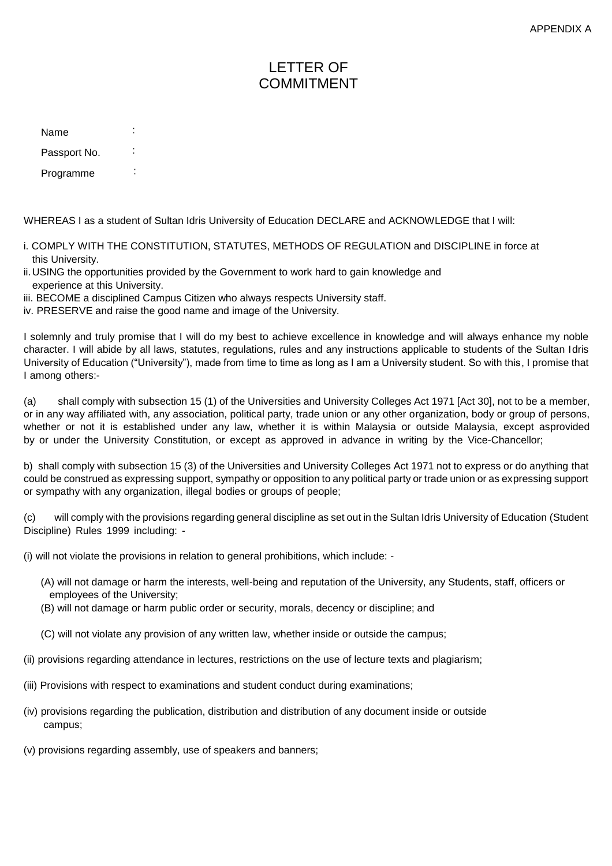## LETTER OF **COMMITMENT**

| Name         |  |
|--------------|--|
| Passport No. |  |
| Programme    |  |

WHEREAS I as a student of Sultan Idris University of Education DECLARE and ACKNOWLEDGE that I will:

- i. COMPLY WITH THE CONSTITUTION, STATUTES, METHODS OF REGULATION and DISCIPLINE in force at this University.
- ii.USING the opportunities provided by the Government to work hard to gain knowledge and experience at this University.
- iii. BECOME a disciplined Campus Citizen who always respects University staff.
- iv. PRESERVE and raise the good name and image of the University.

I solemnly and truly promise that I will do my best to achieve excellence in knowledge and will always enhance my noble character. I will abide by all laws, statutes, regulations, rules and any instructions applicable to students of the Sultan Idris University of Education ("University"), made from time to time as long as I am a University student. So with this, I promise that I among others:-

(a) shall comply with subsection 15 (1) of the Universities and University Colleges Act 1971 [Act 30], not to be a member, or in any way affiliated with, any association, political party, trade union or any other organization, body or group of persons, whether or not it is established under any law, whether it is within Malaysia or outside Malaysia, except asprovided by or under the University Constitution, or except as approved in advance in writing by the Vice-Chancellor;

b) shall comply with subsection 15 (3) of the Universities and University Colleges Act 1971 not to express or do anything that could be construed as expressing support, sympathy or opposition to any political party or trade union or as expressing support or sympathy with any organization, illegal bodies or groups of people;

(c) will comply with the provisions regarding general discipline as set out in the Sultan Idris University of Education (Student Discipline) Rules 1999 including: -

(i) will not violate the provisions in relation to general prohibitions, which include: -

- (A) will not damage or harm the interests, well-being and reputation of the University, any Students, staff, officers or employees of the University;
- (B) will not damage or harm public order or security, morals, decency or discipline; and
- (C) will not violate any provision of any written law, whether inside or outside the campus;
- (ii) provisions regarding attendance in lectures, restrictions on the use of lecture texts and plagiarism;
- (iii) Provisions with respect to examinations and student conduct during examinations;
- (iv) provisions regarding the publication, distribution and distribution of any document inside or outside campus;
- (v) provisions regarding assembly, use of speakers and banners;